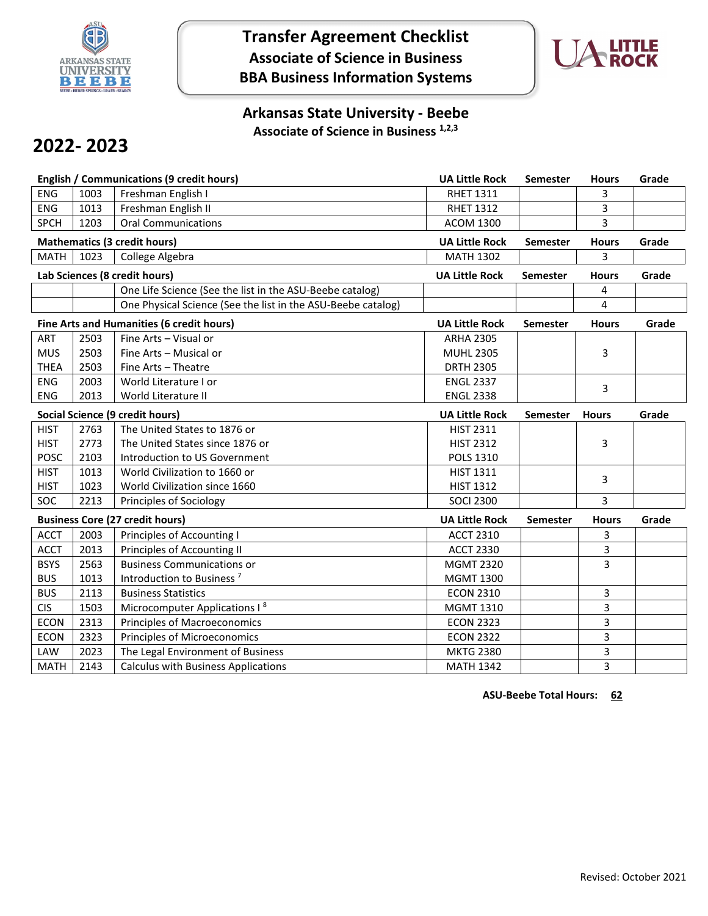

# **Transfer Agreement Checklist Associate of Science in Business BBA Business Information Systems**



## **Arkansas State University - Beebe Associate of Science in Business 1,2,3**

# **2022- 2023**

| <b>English / Communications (9 credit hours)</b> |                         |                                                              | <b>UA Little Rock</b> | Semester        | <b>Hours</b> | Grade |
|--------------------------------------------------|-------------------------|--------------------------------------------------------------|-----------------------|-----------------|--------------|-------|
| ENG                                              | 1003                    | Freshman English I                                           | <b>RHET 1311</b>      |                 | 3            |       |
| <b>ENG</b>                                       | 1013                    | Freshman English II                                          | <b>RHET 1312</b>      |                 | 3            |       |
| <b>SPCH</b>                                      | 1203                    | <b>Oral Communications</b>                                   | <b>ACOM 1300</b>      |                 | 3            |       |
| <b>Mathematics (3 credit hours)</b>              |                         |                                                              | <b>UA Little Rock</b> | <b>Semester</b> | <b>Hours</b> | Grade |
| <b>MATH</b>                                      | 1023<br>College Algebra |                                                              | <b>MATH 1302</b>      |                 | 3            |       |
| Lab Sciences (8 credit hours)                    |                         |                                                              | <b>UA Little Rock</b> | <b>Semester</b> | <b>Hours</b> | Grade |
|                                                  |                         | One Life Science (See the list in the ASU-Beebe catalog)     |                       |                 | 4            |       |
|                                                  |                         | One Physical Science (See the list in the ASU-Beebe catalog) |                       |                 | 4            |       |
|                                                  |                         | Fine Arts and Humanities (6 credit hours)                    | <b>UA Little Rock</b> | <b>Semester</b> | <b>Hours</b> | Grade |
| ART                                              | 2503                    | Fine Arts - Visual or                                        | <b>ARHA 2305</b>      |                 |              |       |
| <b>MUS</b>                                       | 2503                    | Fine Arts - Musical or                                       | <b>MUHL 2305</b>      |                 | 3            |       |
| <b>THEA</b>                                      | 2503                    | Fine Arts - Theatre                                          | <b>DRTH 2305</b>      |                 |              |       |
| <b>ENG</b>                                       | 2003                    | World Literature I or                                        | <b>ENGL 2337</b>      |                 | 3            |       |
| ENG                                              | 2013                    | World Literature II                                          | <b>ENGL 2338</b>      |                 |              |       |
| Social Science (9 credit hours)                  |                         | <b>UA Little Rock</b>                                        | <b>Semester</b>       | <b>Hours</b>    | Grade        |       |
| <b>HIST</b>                                      | 2763                    | The United States to 1876 or                                 | <b>HIST 2311</b>      |                 |              |       |
| <b>HIST</b>                                      | 2773                    | The United States since 1876 or                              | <b>HIST 2312</b>      |                 | 3            |       |
| POSC                                             | 2103                    | Introduction to US Government                                | <b>POLS 1310</b>      |                 |              |       |
| <b>HIST</b>                                      | 1013                    | World Civilization to 1660 or                                | <b>HIST 1311</b>      |                 | 3            |       |
| <b>HIST</b>                                      | 1023                    | World Civilization since 1660                                | <b>HIST 1312</b>      |                 |              |       |
| <b>SOC</b>                                       | 2213                    | Principles of Sociology                                      | <b>SOCI 2300</b>      |                 | 3            |       |
| <b>Business Core (27 credit hours)</b>           |                         |                                                              | <b>UA Little Rock</b> | <b>Semester</b> | <b>Hours</b> | Grade |
| <b>ACCT</b>                                      | 2003                    | Principles of Accounting I                                   | <b>ACCT 2310</b>      |                 | 3            |       |
| <b>ACCT</b>                                      | 2013                    | Principles of Accounting II                                  | <b>ACCT 2330</b>      |                 | 3            |       |
| <b>BSYS</b>                                      | 2563                    | <b>Business Communications or</b>                            | <b>MGMT 2320</b>      |                 | 3            |       |
| <b>BUS</b>                                       | 1013                    | Introduction to Business <sup>7</sup>                        | <b>MGMT 1300</b>      |                 |              |       |
| <b>BUS</b>                                       | 2113                    | <b>Business Statistics</b>                                   | <b>ECON 2310</b>      |                 | 3            |       |
| <b>CIS</b>                                       | 1503                    | Microcomputer Applications I <sup>8</sup>                    | MGMT 1310             |                 | 3            |       |
| <b>ECON</b>                                      | 2313                    | Principles of Macroeconomics                                 | <b>ECON 2323</b>      |                 | 3            |       |
| <b>ECON</b>                                      | 2323                    | <b>Principles of Microeconomics</b>                          | <b>ECON 2322</b>      |                 | 3            |       |
| LAW                                              | 2023                    | The Legal Environment of Business                            | <b>MKTG 2380</b>      |                 | 3            |       |
| <b>MATH</b>                                      | 2143                    | <b>Calculus with Business Applications</b>                   | <b>MATH 1342</b>      |                 | 3            |       |

**ASU-Beebe Total Hours: 62**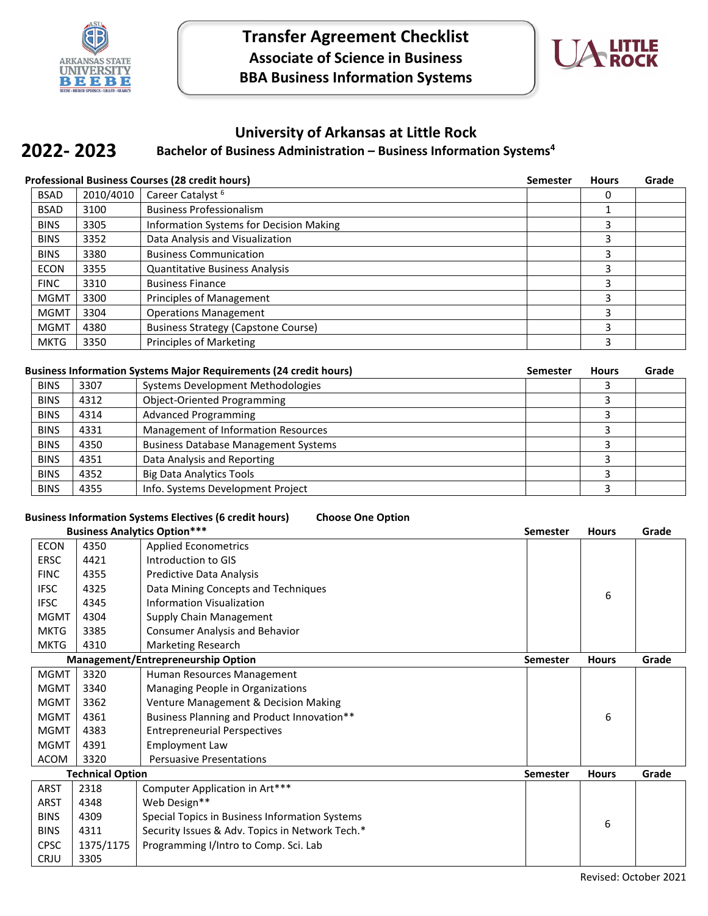



## **University of Arkansas at Little Rock**

#### **Bachelor of Business Administration – Business Information Systems4 2022- 2023**

| <b>Professional Business Courses (28 credit hours)</b> |           |                                            | <b>Semester</b> | <b>Hours</b> | Grade |
|--------------------------------------------------------|-----------|--------------------------------------------|-----------------|--------------|-------|
| <b>BSAD</b>                                            | 2010/4010 | Career Catalyst <sup>6</sup>               |                 | 0            |       |
| <b>BSAD</b>                                            | 3100      | <b>Business Professionalism</b>            |                 |              |       |
| <b>BINS</b>                                            | 3305      | Information Systems for Decision Making    |                 |              |       |
| <b>BINS</b>                                            | 3352      | Data Analysis and Visualization            |                 | 3            |       |
| <b>BINS</b>                                            | 3380      | <b>Business Communication</b>              |                 | 3            |       |
| <b>ECON</b>                                            | 3355      | <b>Quantitative Business Analysis</b>      |                 | 3            |       |
| <b>FINC</b>                                            | 3310      | <b>Business Finance</b>                    |                 | 3            |       |
| <b>MGMT</b>                                            | 3300      | Principles of Management                   |                 | 3            |       |
| <b>MGMT</b>                                            | 3304      | <b>Operations Management</b>               |                 | 3            |       |
| <b>MGMT</b>                                            | 4380      | <b>Business Strategy (Capstone Course)</b> |                 | ς            |       |
| <b>MKTG</b>                                            | 3350      | Principles of Marketing                    |                 |              |       |

#### **Business Information Systems Major Requirements (24 credit hours) Semester Hours Grade**

| 3307 | Systems Development Methodologies           |  |  |
|------|---------------------------------------------|--|--|
| 4312 | <b>Object-Oriented Programming</b>          |  |  |
| 4314 | <b>Advanced Programming</b>                 |  |  |
| 4331 | Management of Information Resources         |  |  |
| 4350 | <b>Business Database Management Systems</b> |  |  |
| 4351 | Data Analysis and Reporting                 |  |  |
| 4352 | <b>Big Data Analytics Tools</b>             |  |  |
| 4355 | Info. Systems Development Project           |  |  |
|      |                                             |  |  |

### **Business Information Systems Electives (6 credit hours) Choose One Option**

| <b>Business Analytics Option***</b> |           | <b>Semester</b>                                 | <b>Hours</b>    | Grade        |       |
|-------------------------------------|-----------|-------------------------------------------------|-----------------|--------------|-------|
| <b>ECON</b>                         | 4350      | <b>Applied Econometrics</b>                     |                 |              |       |
| ERSC                                | 4421      | Introduction to GIS                             |                 |              |       |
| <b>FINC</b>                         | 4355      | Predictive Data Analysis                        |                 |              |       |
| <b>IFSC</b>                         | 4325      | Data Mining Concepts and Techniques             |                 | 6            |       |
| <b>IFSC</b>                         | 4345      | <b>Information Visualization</b>                |                 |              |       |
| <b>MGMT</b>                         | 4304      | Supply Chain Management                         |                 |              |       |
| <b>MKTG</b>                         | 3385      | <b>Consumer Analysis and Behavior</b>           |                 |              |       |
| <b>MKTG</b>                         | 4310      | Marketing Research                              |                 |              |       |
|                                     |           | <b>Management/Entrepreneurship Option</b>       | <b>Semester</b> | <b>Hours</b> | Grade |
| <b>MGMT</b>                         | 3320      | Human Resources Management                      |                 |              |       |
| <b>MGMT</b>                         | 3340      | Managing People in Organizations                |                 |              |       |
| <b>MGMT</b>                         | 3362      | Venture Management & Decision Making            |                 |              |       |
| <b>MGMT</b>                         | 4361      | Business Planning and Product Innovation**      |                 | 6            |       |
| <b>MGMT</b>                         | 4383      | <b>Entrepreneurial Perspectives</b>             |                 |              |       |
| <b>MGMT</b>                         | 4391      | <b>Employment Law</b>                           |                 |              |       |
| ACOM                                | 3320      | <b>Persuasive Presentations</b>                 |                 |              |       |
| <b>Technical Option</b>             |           |                                                 | <b>Semester</b> | <b>Hours</b> | Grade |
| <b>ARST</b>                         | 2318      | Computer Application in Art***                  |                 |              |       |
| <b>ARST</b>                         | 4348      | Web Design**                                    |                 |              |       |
| <b>BINS</b>                         | 4309      | Special Topics in Business Information Systems  |                 | 6            |       |
| <b>BINS</b>                         | 4311      | Security Issues & Adv. Topics in Network Tech.* |                 |              |       |
| <b>CPSC</b>                         | 1375/1175 | Programming I/Intro to Comp. Sci. Lab           |                 |              |       |
| CRJU                                | 3305      |                                                 |                 |              |       |